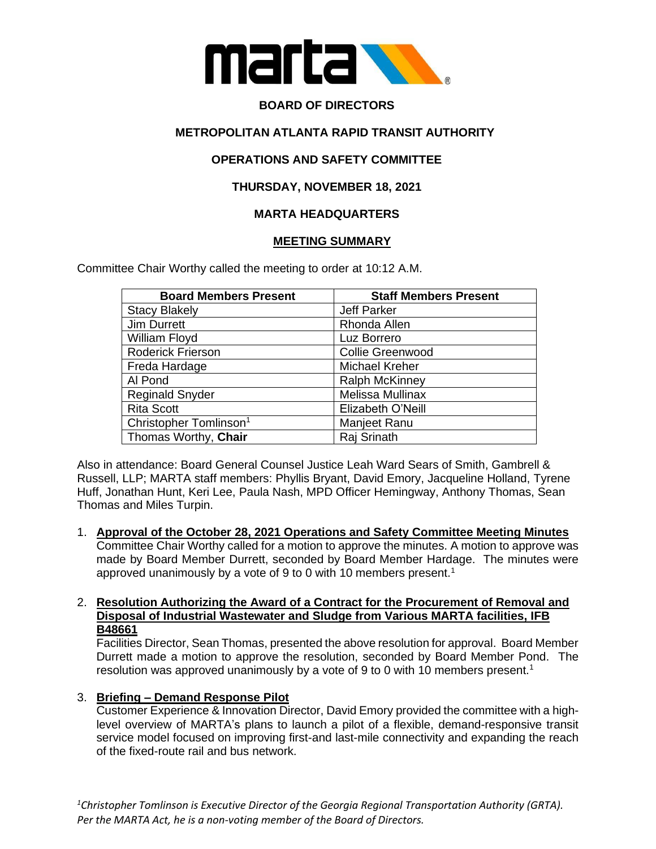

## **BOARD OF DIRECTORS**

### **METROPOLITAN ATLANTA RAPID TRANSIT AUTHORITY**

### **OPERATIONS AND SAFETY COMMITTEE**

### **THURSDAY, NOVEMBER 18, 2021**

## **MARTA HEADQUARTERS**

#### **MEETING SUMMARY**

Committee Chair Worthy called the meeting to order at 10:12 A.M.

| <b>Board Members Present</b>       | <b>Staff Members Present</b> |
|------------------------------------|------------------------------|
| <b>Stacy Blakely</b>               | <b>Jeff Parker</b>           |
| <b>Jim Durrett</b>                 | Rhonda Allen                 |
| William Floyd                      | Luz Borrero                  |
| Roderick Frierson                  | Collie Greenwood             |
| Freda Hardage                      | <b>Michael Kreher</b>        |
| Al Pond                            | <b>Ralph McKinney</b>        |
| <b>Reginald Snyder</b>             | Melissa Mullinax             |
| <b>Rita Scott</b>                  | Elizabeth O'Neill            |
| Christopher Tomlinson <sup>1</sup> | Manjeet Ranu                 |
| Thomas Worthy, Chair               | Raj Srinath                  |

Also in attendance: Board General Counsel Justice Leah Ward Sears of Smith, Gambrell & Russell, LLP; MARTA staff members: Phyllis Bryant, David Emory, Jacqueline Holland, Tyrene Huff, Jonathan Hunt, Keri Lee, Paula Nash, MPD Officer Hemingway, Anthony Thomas, Sean Thomas and Miles Turpin.

1. **Approval of the October 28, 2021 Operations and Safety Committee Meeting Minutes** Committee Chair Worthy called for a motion to approve the minutes. A motion to approve was made by Board Member Durrett, seconded by Board Member Hardage. The minutes were approved unanimously by a vote of 9 to 0 with 10 members present.<sup>1</sup>

#### 2. **Resolution Authorizing the Award of a Contract for the Procurement of Removal and Disposal of Industrial Wastewater and Sludge from Various MARTA facilities, IFB B48661**

Facilities Director, Sean Thomas, presented the above resolution for approval. Board Member Durrett made a motion to approve the resolution, seconded by Board Member Pond. The resolution was approved unanimously by a vote of 9 to 0 with 10 members present.<sup>1</sup>

#### 3. **Briefing – Demand Response Pilot**

Customer Experience & Innovation Director, David Emory provided the committee with a highlevel overview of MARTA's plans to launch a pilot of a flexible, demand-responsive transit service model focused on improving first-and last-mile connectivity and expanding the reach of the fixed-route rail and bus network.